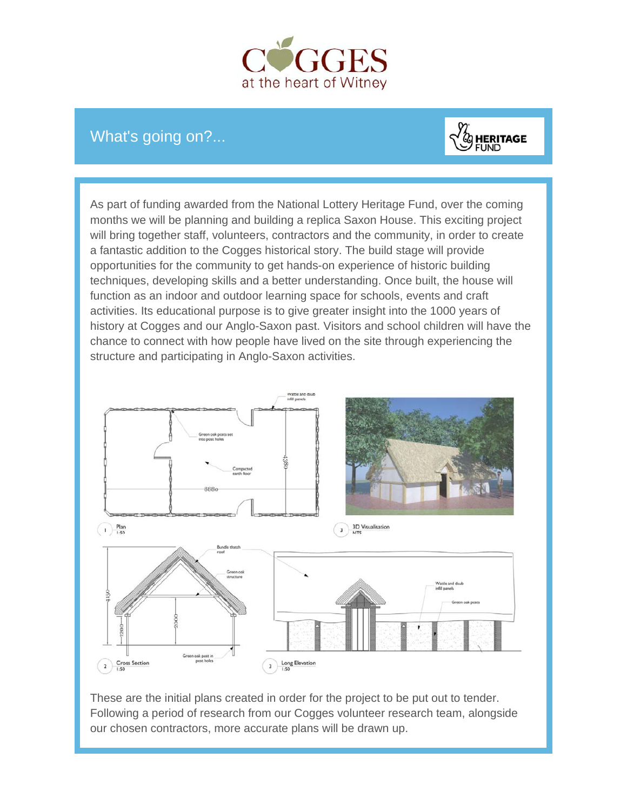

## What's going on?...



As part of funding awarded from the National Lottery Heritage Fund, over the coming months we will be planning and building a replica Saxon House. This exciting project will bring together staff, volunteers, contractors and the community, in order to create a fantastic addition to the Cogges historical story. The build stage will provide opportunities for the community to get hands-on experience of historic building techniques, developing skills and a better understanding. Once built, the house will function as an indoor and outdoor learning space for schools, events and craft activities. Its educational purpose is to give greater insight into the 1000 years of history at Cogges and our Anglo-Saxon past. Visitors and school children will have the chance to connect with how people have lived on the site through experiencing the structure and participating in Anglo-Saxon activities.



These are the initial plans created in order for the project to be put out to tender. Following a period of research from our Cogges volunteer research team, alongside our chosen contractors, more accurate plans will be drawn up.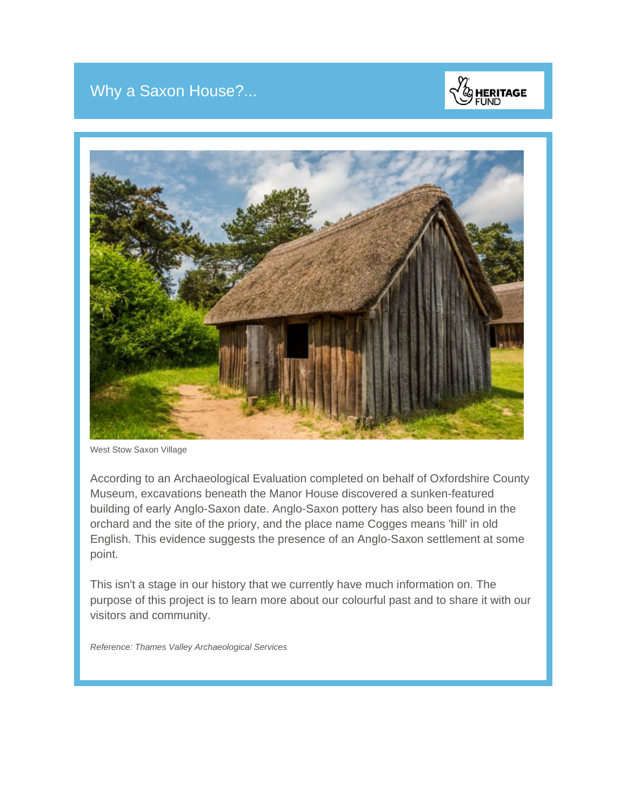## Why a Saxon House?...





West Stow Saxon Village

According to an Archaeological Evaluation completed on behalf of Oxfordshire County Museum, excavations beneath the Manor House discovered a sunken-featured building of early Anglo-Saxon date. Anglo-Saxon pottery has also been found in the orchard and the site of the priory, and the place name Cogges means 'hill' in old English. This evidence suggests the presence of an Anglo-Saxon settlement at some point.

This isn't a stage in our history that we currently have much information on. The purpose of this project is to learn more about our colourful past and to share it with our visitors and community.

*Reference: Thames Valley Archaeological Services*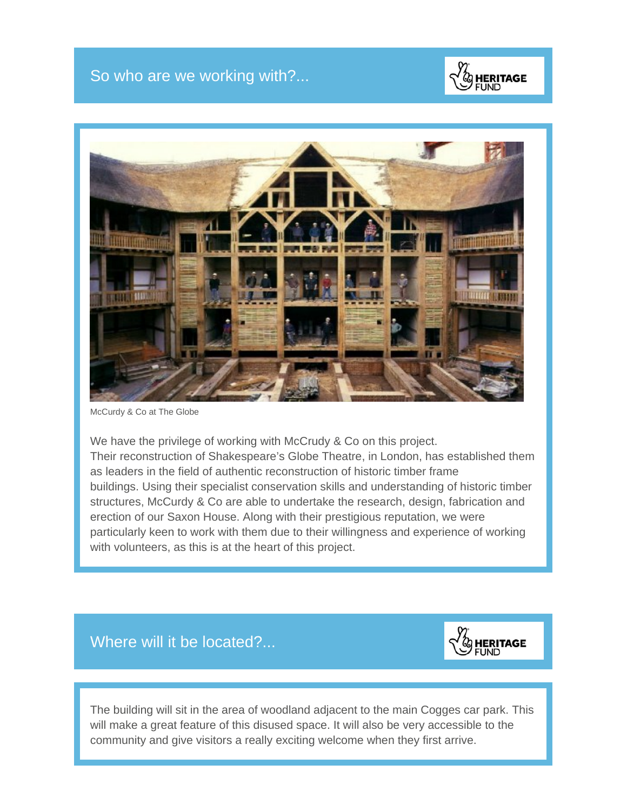



McCurdy & Co at The Globe

We have the privilege of working with McCrudy & Co on this project. Their reconstruction of Shakespeare's Globe Theatre, in London, has established them as leaders in the field of authentic reconstruction of historic timber frame buildings. Using their specialist conservation skills and understanding of historic timber structures, McCurdy & Co are able to undertake the research, design, fabrication and erection of our Saxon House. Along with their prestigious reputation, we were particularly keen to work with them due to their willingness and experience of working with volunteers, as this is at the heart of this project.





The building will sit in the area of woodland adjacent to the main Cogges car park. This will make a great feature of this disused space. It will also be very accessible to the community and give visitors a really exciting welcome when they first arrive.